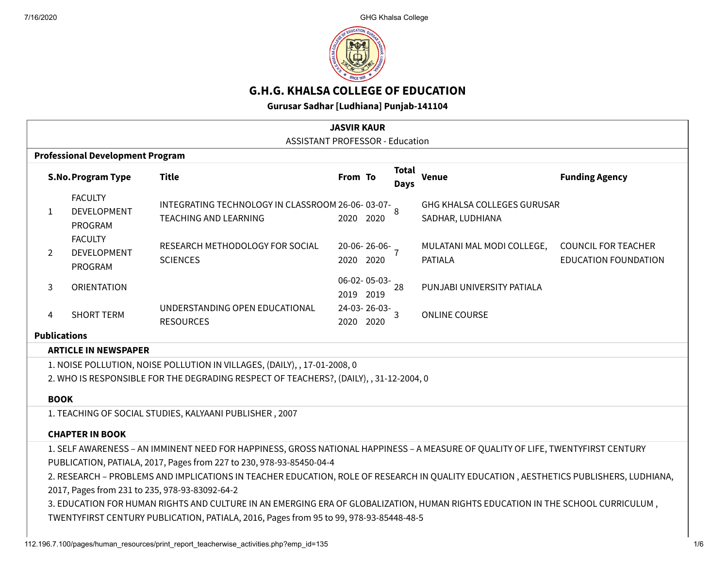

# **G.H.G. KHALSA COLLEGE OF EDUCATION**

**Gurusar Sadhar [Ludhiana] Punjab-141104**

| <b>JASVIR KAUR</b>                                                                                                                                                                                                                                                                                                                                                                                                                                                                                                                                                                                                               |                                                                                        |                                                 |                                                                                   |           |                          |                      |                                                        |                                                           |  |  |
|----------------------------------------------------------------------------------------------------------------------------------------------------------------------------------------------------------------------------------------------------------------------------------------------------------------------------------------------------------------------------------------------------------------------------------------------------------------------------------------------------------------------------------------------------------------------------------------------------------------------------------|----------------------------------------------------------------------------------------|-------------------------------------------------|-----------------------------------------------------------------------------------|-----------|--------------------------|----------------------|--------------------------------------------------------|-----------------------------------------------------------|--|--|
| <b>ASSISTANT PROFESSOR - Education</b><br><b>Professional Development Program</b>                                                                                                                                                                                                                                                                                                                                                                                                                                                                                                                                                |                                                                                        |                                                 |                                                                                   |           |                          |                      |                                                        |                                                           |  |  |
|                                                                                                                                                                                                                                                                                                                                                                                                                                                                                                                                                                                                                                  |                                                                                        | <b>S.No. Program Type</b>                       | <b>Title</b>                                                                      | From To   |                          | <b>Total</b><br>Days | <b>Venue</b>                                           | <b>Funding Agency</b>                                     |  |  |
|                                                                                                                                                                                                                                                                                                                                                                                                                                                                                                                                                                                                                                  | $\mathbf{1}$                                                                           | <b>FACULTY</b><br><b>DEVELOPMENT</b><br>PROGRAM | INTEGRATING TECHNOLOGY IN CLASSROOM 26-06-03-07-8<br><b>TEACHING AND LEARNING</b> | 2020      | 2020                     |                      | <b>GHG KHALSA COLLEGES GURUSAR</b><br>SADHAR, LUDHIANA |                                                           |  |  |
|                                                                                                                                                                                                                                                                                                                                                                                                                                                                                                                                                                                                                                  | 2                                                                                      | <b>FACULTY</b><br><b>DEVELOPMENT</b><br>PROGRAM | RESEARCH METHODOLOGY FOR SOCIAL<br><b>SCIENCES</b>                                | 2020      | $20-06-26-06-7$<br>2020  |                      | MULATANI MAL MODI COLLEGE,<br><b>PATIALA</b>           | <b>COUNCIL FOR TEACHER</b><br><b>EDUCATION FOUNDATION</b> |  |  |
|                                                                                                                                                                                                                                                                                                                                                                                                                                                                                                                                                                                                                                  | 3                                                                                      | <b>ORIENTATION</b>                              |                                                                                   | 2019 2019 | $06 - 02 - 05 - 03 - 28$ |                      | PUNJABI UNIVERSITY PATIALA                             |                                                           |  |  |
|                                                                                                                                                                                                                                                                                                                                                                                                                                                                                                                                                                                                                                  | 4                                                                                      | <b>SHORT TERM</b>                               | UNDERSTANDING OPEN EDUCATIONAL<br><b>RESOURCES</b>                                | 2020 2020 | $24-03-26-03-3$          |                      | <b>ONLINE COURSE</b>                                   |                                                           |  |  |
|                                                                                                                                                                                                                                                                                                                                                                                                                                                                                                                                                                                                                                  | <b>Publications</b>                                                                    |                                                 |                                                                                   |           |                          |                      |                                                        |                                                           |  |  |
| <b>ARTICLE IN NEWSPAPER</b>                                                                                                                                                                                                                                                                                                                                                                                                                                                                                                                                                                                                      |                                                                                        |                                                 |                                                                                   |           |                          |                      |                                                        |                                                           |  |  |
|                                                                                                                                                                                                                                                                                                                                                                                                                                                                                                                                                                                                                                  | 1. NOISE POLLUTION, NOISE POLLUTION IN VILLAGES, (DAILY), , 17-01-2008, 0              |                                                 |                                                                                   |           |                          |                      |                                                        |                                                           |  |  |
|                                                                                                                                                                                                                                                                                                                                                                                                                                                                                                                                                                                                                                  | 2. WHO IS RESPONSIBLE FOR THE DEGRADING RESPECT OF TEACHERS?, (DAILY), , 31-12-2004, 0 |                                                 |                                                                                   |           |                          |                      |                                                        |                                                           |  |  |
|                                                                                                                                                                                                                                                                                                                                                                                                                                                                                                                                                                                                                                  | <b>BOOK</b>                                                                            |                                                 |                                                                                   |           |                          |                      |                                                        |                                                           |  |  |
| 1. TEACHING OF SOCIAL STUDIES, KALYAANI PUBLISHER, 2007                                                                                                                                                                                                                                                                                                                                                                                                                                                                                                                                                                          |                                                                                        |                                                 |                                                                                   |           |                          |                      |                                                        |                                                           |  |  |
|                                                                                                                                                                                                                                                                                                                                                                                                                                                                                                                                                                                                                                  | <b>CHAPTER IN BOOK</b>                                                                 |                                                 |                                                                                   |           |                          |                      |                                                        |                                                           |  |  |
| 1. SELF AWARENESS - AN IMMINENT NEED FOR HAPPINESS, GROSS NATIONAL HAPPINESS - A MEASURE OF QUALITY OF LIFE, TWENTYFIRST CENTURY<br>PUBLICATION, PATIALA, 2017, Pages from 227 to 230, 978-93-85450-04-4<br>2. RESEARCH - PROBLEMS AND IMPLICATIONS IN TEACHER EDUCATION, ROLE OF RESEARCH IN QUALITY EDUCATION, AESTHETICS PUBLISHERS, LUDHIANA,<br>2017, Pages from 231 to 235, 978-93-83092-64-2<br>3. EDUCATION FOR HUMAN RIGHTS AND CULTURE IN AN EMERGING ERA OF GLOBALIZATION, HUMAN RIGHTS EDUCATION IN THE SCHOOL CURRICULUM,<br>TWENTYFIRST CENTURY PUBLICATION, PATIALA, 2016, Pages from 95 to 99, 978-93-85448-48-5 |                                                                                        |                                                 |                                                                                   |           |                          |                      |                                                        |                                                           |  |  |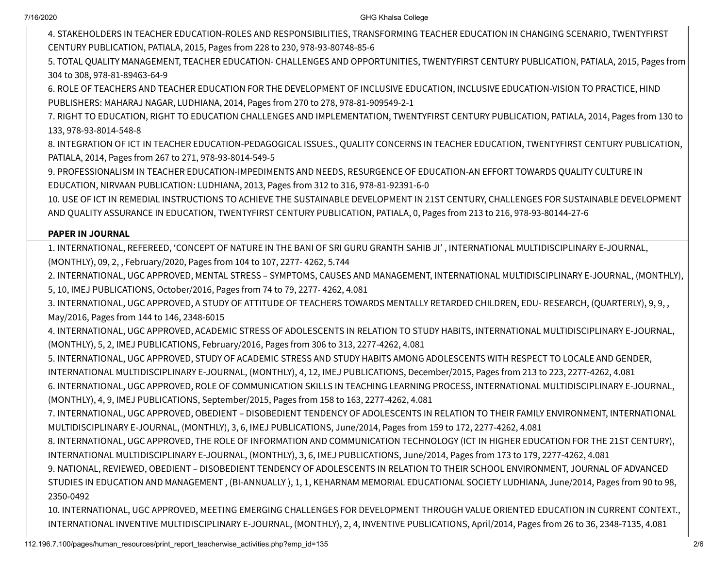4. STAKEHOLDERS IN TEACHER EDUCATION-ROLES AND RESPONSIBILITIES, TRANSFORMING TEACHER EDUCATION IN CHANGING SCENARIO, TWENTYFIRST CENTURY PUBLICATION, PATIALA, 2015, Pages from 228 to 230, 978-93-80748-85-6

5. TOTAL QUALITY MANAGEMENT, TEACHER EDUCATION- CHALLENGES AND OPPORTUNITIES, TWENTYFIRST CENTURY PUBLICATION, PATIALA, 2015, Pages from 304 to 308, 978-81-89463-64-9

6. ROLE OF TEACHERS AND TEACHER EDUCATION FOR THE DEVELOPMENT OF INCLUSIVE EDUCATION, INCLUSIVE EDUCATION-VISION TO PRACTICE, HIND PUBLISHERS: MAHARAJ NAGAR, LUDHIANA, 2014, Pages from 270 to 278, 978-81-909549-2-1

7. RIGHT TO EDUCATION, RIGHT TO EDUCATION CHALLENGES AND IMPLEMENTATION, TWENTYFIRST CENTURY PUBLICATION, PATIALA, 2014, Pages from 130 to 133, 978-93-8014-548-8

8. INTEGRATION OF ICT IN TEACHER EDUCATION-PEDAGOGICAL ISSUES., QUALITY CONCERNS IN TEACHER EDUCATION, TWENTYFIRST CENTURY PUBLICATION, PATIALA, 2014, Pages from 267 to 271, 978-93-8014-549-5

9. PROFESSIONALISM IN TEACHER EDUCATION-IMPEDIMENTS AND NEEDS, RESURGENCE OF EDUCATION-AN EFFORT TOWARDS QUALITY CULTURE IN EDUCATION, NIRVAAN PUBLICATION: LUDHIANA, 2013, Pages from 312 to 316, 978-81-92391-6-0

10. USE OF ICT IN REMEDIAL INSTRUCTIONS TO ACHIEVE THE SUSTAINABLE DEVELOPMENT IN 21ST CENTURY, CHALLENGES FOR SUSTAINABLE DEVELOPMENT AND QUALITY ASSURANCE IN EDUCATION, TWENTYFIRST CENTURY PUBLICATION, PATIALA, 0, Pages from 213 to 216, 978-93-80144-27-6

### **PAPER IN JOURNAL**

1. INTERNATIONAL, REFEREED, 'CONCEPT OF NATURE IN THE BANI OF SRI GURU GRANTH SAHIB JI' , INTERNATIONAL MULTIDISCIPLINARY E-JOURNAL, (MONTHLY), 09, 2, , February/2020, Pages from 104 to 107, 2277- 4262, 5.744

2. INTERNATIONAL, UGC APPROVED, MENTAL STRESS – SYMPTOMS, CAUSES AND MANAGEMENT, INTERNATIONAL MULTIDISCIPLINARY E-JOURNAL, (MONTHLY), 5, 10, IMEJ PUBLICATIONS, October/2016, Pages from 74 to 79, 2277- 4262, 4.081

3. INTERNATIONAL, UGC APPROVED, A STUDY OF ATTITUDE OF TEACHERS TOWARDS MENTALLY RETARDED CHILDREN, EDU- RESEARCH, (QUARTERLY), 9, 9, , May/2016, Pages from 144 to 146, 2348-6015

4. INTERNATIONAL, UGC APPROVED, ACADEMIC STRESS OF ADOLESCENTS IN RELATION TO STUDY HABITS, INTERNATIONAL MULTIDISCIPLINARY E-JOURNAL, (MONTHLY), 5, 2, IMEJ PUBLICATIONS, February/2016, Pages from 306 to 313, 2277-4262, 4.081

5. INTERNATIONAL, UGC APPROVED, STUDY OF ACADEMIC STRESS AND STUDY HABITS AMONG ADOLESCENTS WITH RESPECT TO LOCALE AND GENDER, INTERNATIONAL MULTIDISCIPLINARY E-JOURNAL, (MONTHLY), 4, 12, IMEJ PUBLICATIONS, December/2015, Pages from 213 to 223, 2277-4262, 4.081 6. INTERNATIONAL, UGC APPROVED, ROLE OF COMMUNICATION SKILLS IN TEACHING LEARNING PROCESS, INTERNATIONAL MULTIDISCIPLINARY E-JOURNAL, (MONTHLY), 4, 9, IMEJ PUBLICATIONS, September/2015, Pages from 158 to 163, 2277-4262, 4.081

7. INTERNATIONAL, UGC APPROVED, OBEDIENT – DISOBEDIENT TENDENCY OF ADOLESCENTS IN RELATION TO THEIR FAMILY ENVIRONMENT, INTERNATIONAL MULTIDISCIPLINARY E-JOURNAL, (MONTHLY), 3, 6, IMEJ PUBLICATIONS, June/2014, Pages from 159 to 172, 2277-4262, 4.081

8. INTERNATIONAL, UGC APPROVED, THE ROLE OF INFORMATION AND COMMUNICATION TECHNOLOGY (ICT IN HIGHER EDUCATION FOR THE 21ST CENTURY), INTERNATIONAL MULTIDISCIPLINARY E-JOURNAL, (MONTHLY), 3, 6, IMEJ PUBLICATIONS, June/2014, Pages from 173 to 179, 2277-4262, 4.081

9. NATIONAL, REVIEWED, OBEDIENT – DISOBEDIENT TENDENCY OF ADOLESCENTS IN RELATION TO THEIR SCHOOL ENVIRONMENT, JOURNAL OF ADVANCED STUDIES IN EDUCATION AND MANAGEMENT , (BI-ANNUALLY ), 1, 1, KEHARNAM MEMORIAL EDUCATIONAL SOCIETY LUDHIANA, June/2014, Pages from 90 to 98, 2350-0492

10. INTERNATIONAL, UGC APPROVED, MEETING EMERGING CHALLENGES FOR DEVELOPMENT THROUGH VALUE ORIENTED EDUCATION IN CURRENT CONTEXT., INTERNATIONAL INVENTIVE MULTIDISCIPLINARY E-JOURNAL, (MONTHLY), 2, 4, INVENTIVE PUBLICATIONS, April/2014, Pages from 26 to 36, 2348-7135, 4.081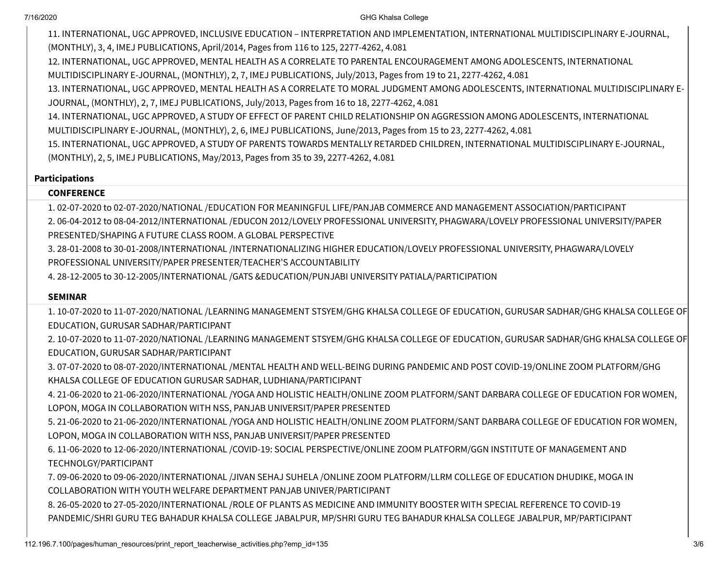11. INTERNATIONAL, UGC APPROVED, INCLUSIVE EDUCATION – INTERPRETATION AND IMPLEMENTATION, INTERNATIONAL MULTIDISCIPLINARY E-JOURNAL, (MONTHLY), 3, 4, IMEJ PUBLICATIONS, April/2014, Pages from 116 to 125, 2277-4262, 4.081

12. INTERNATIONAL, UGC APPROVED, MENTAL HEALTH AS A CORRELATE TO PARENTAL ENCOURAGEMENT AMONG ADOLESCENTS, INTERNATIONAL MULTIDISCIPLINARY E-JOURNAL, (MONTHLY), 2, 7, IMEJ PUBLICATIONS, July/2013, Pages from 19 to 21, 2277-4262, 4.081

13. INTERNATIONAL, UGC APPROVED, MENTAL HEALTH AS A CORRELATE TO MORAL JUDGMENT AMONG ADOLESCENTS, INTERNATIONAL MULTIDISCIPLINARY E-JOURNAL, (MONTHLY), 2, 7, IMEJ PUBLICATIONS, July/2013, Pages from 16 to 18, 2277-4262, 4.081

14. INTERNATIONAL, UGC APPROVED, A STUDY OF EFFECT OF PARENT CHILD RELATIONSHIP ON AGGRESSION AMONG ADOLESCENTS, INTERNATIONAL MULTIDISCIPLINARY E-JOURNAL, (MONTHLY), 2, 6, IMEJ PUBLICATIONS, June/2013, Pages from 15 to 23, 2277-4262, 4.081

15. INTERNATIONAL, UGC APPROVED, A STUDY OF PARENTS TOWARDS MENTALLY RETARDED CHILDREN, INTERNATIONAL MULTIDISCIPLINARY E-JOURNAL, (MONTHLY), 2, 5, IMEJ PUBLICATIONS, May/2013, Pages from 35 to 39, 2277-4262, 4.081

#### **Participations**

#### **CONFERENCE**

1. 02-07-2020 to 02-07-2020/NATIONAL /EDUCATION FOR MEANINGFUL LIFE/PANJAB COMMERCE AND MANAGEMENT ASSOCIATION/PARTICIPANT 2. 06-04-2012 to 08-04-2012/INTERNATIONAL /EDUCON 2012/LOVELY PROFESSIONAL UNIVERSITY, PHAGWARA/LOVELY PROFESSIONAL UNIVERSITY/PAPER PRESENTED/SHAPING A FUTURE CLASS ROOM. A GLOBAL PERSPECTIVE

3. 28-01-2008 to 30-01-2008/INTERNATIONAL /INTERNATIONALIZING HIGHER EDUCATION/LOVELY PROFESSIONAL UNIVERSITY, PHAGWARA/LOVELY PROFESSIONAL UNIVERSITY/PAPER PRESENTER/TEACHER'S ACCOUNTABILITY

4. 28-12-2005 to 30-12-2005/INTERNATIONAL /GATS &EDUCATION/PUNJABI UNIVERSITY PATIALA/PARTICIPATION

#### **SEMINAR**

1. 10-07-2020 to 11-07-2020/NATIONAL /LEARNING MANAGEMENT STSYEM/GHG KHALSA COLLEGE OF EDUCATION, GURUSAR SADHAR/GHG KHALSA COLLEGE OF EDUCATION, GURUSAR SADHAR/PARTICIPANT

2. 10-07-2020 to 11-07-2020/NATIONAL /LEARNING MANAGEMENT STSYEM/GHG KHALSA COLLEGE OF EDUCATION, GURUSAR SADHAR/GHG KHALSA COLLEGE OF EDUCATION, GURUSAR SADHAR/PARTICIPANT

3. 07-07-2020 to 08-07-2020/INTERNATIONAL /MENTAL HEALTH AND WELL-BEING DURING PANDEMIC AND POST COVID-19/ONLINE ZOOM PLATFORM/GHG KHALSA COLLEGE OF EDUCATION GURUSAR SADHAR, LUDHIANA/PARTICIPANT

4. 21-06-2020 to 21-06-2020/INTERNATIONAL /YOGA AND HOLISTIC HEALTH/ONLINE ZOOM PLATFORM/SANT DARBARA COLLEGE OF EDUCATION FOR WOMEN, LOPON, MOGA IN COLLABORATION WITH NSS, PANJAB UNIVERSIT/PAPER PRESENTED

5. 21-06-2020 to 21-06-2020/INTERNATIONAL /YOGA AND HOLISTIC HEALTH/ONLINE ZOOM PLATFORM/SANT DARBARA COLLEGE OF EDUCATION FOR WOMEN, LOPON, MOGA IN COLLABORATION WITH NSS, PANJAB UNIVERSIT/PAPER PRESENTED

6. 11-06-2020 to 12-06-2020/INTERNATIONAL /COVID-19: SOCIAL PERSPECTIVE/ONLINE ZOOM PLATFORM/GGN INSTITUTE OF MANAGEMENT AND TECHNOLGY/PARTICIPANT

7. 09-06-2020 to 09-06-2020/INTERNATIONAL /JIVAN SEHAJ SUHELA /ONLINE ZOOM PLATFORM/LLRM COLLEGE OF EDUCATION DHUDIKE, MOGA IN COLLABORATION WITH YOUTH WELFARE DEPARTMENT PANJAB UNIVER/PARTICIPANT

8. 26-05-2020 to 27-05-2020/INTERNATIONAL /ROLE OF PLANTS AS MEDICINE AND IMMUNITY BOOSTER WITH SPECIAL REFERENCE TO COVID-19 PANDEMIC/SHRI GURU TEG BAHADUR KHALSA COLLEGE JABALPUR, MP/SHRI GURU TEG BAHADUR KHALSA COLLEGE JABALPUR, MP/PARTICIPANT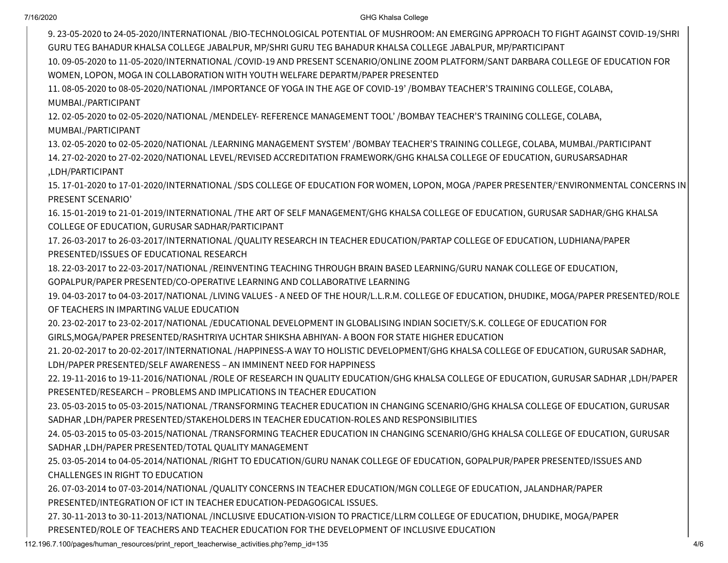9. 23-05-2020 to 24-05-2020/INTERNATIONAL /BIO-TECHNOLOGICAL POTENTIAL OF MUSHROOM: AN EMERGING APPROACH TO FIGHT AGAINST COVID-19/SHRI GURU TEG BAHADUR KHALSA COLLEGE JABALPUR, MP/SHRI GURU TEG BAHADUR KHALSA COLLEGE JABALPUR, MP/PARTICIPANT

10. 09-05-2020 to 11-05-2020/INTERNATIONAL /COVID-19 AND PRESENT SCENARIO/ONLINE ZOOM PLATFORM/SANT DARBARA COLLEGE OF EDUCATION FOR WOMEN, LOPON, MOGA IN COLLABORATION WITH YOUTH WELFARE DEPARTM/PAPER PRESENTED

11. 08-05-2020 to 08-05-2020/NATIONAL /IMPORTANCE OF YOGA IN THE AGE OF COVID-19' /BOMBAY TEACHER'S TRAINING COLLEGE, COLABA, MUMBAI./PARTICIPANT

12. 02-05-2020 to 02-05-2020/NATIONAL /MENDELEY- REFERENCE MANAGEMENT TOOL' /BOMBAY TEACHER'S TRAINING COLLEGE, COLABA, MUMBAI./PARTICIPANT

13. 02-05-2020 to 02-05-2020/NATIONAL /LEARNING MANAGEMENT SYSTEM' /BOMBAY TEACHER'S TRAINING COLLEGE, COLABA, MUMBAI./PARTICIPANT 14. 27-02-2020 to 27-02-2020/NATIONAL LEVEL/REVISED ACCREDITATION FRAMEWORK/GHG KHALSA COLLEGE OF EDUCATION, GURUSARSADHAR ,LDH/PARTICIPANT

15. 17-01-2020 to 17-01-2020/INTERNATIONAL /SDS COLLEGE OF EDUCATION FOR WOMEN, LOPON, MOGA /PAPER PRESENTER/'ENVIRONMENTAL CONCERNS IN PRESENT SCENARIO'

16. 15-01-2019 to 21-01-2019/INTERNATIONAL /THE ART OF SELF MANAGEMENT/GHG KHALSA COLLEGE OF EDUCATION, GURUSAR SADHAR/GHG KHALSA COLLEGE OF EDUCATION, GURUSAR SADHAR/PARTICIPANT

17. 26-03-2017 to 26-03-2017/INTERNATIONAL /QUALITY RESEARCH IN TEACHER EDUCATION/PARTAP COLLEGE OF EDUCATION, LUDHIANA/PAPER PRESENTED/ISSUES OF EDUCATIONAL RESEARCH

18. 22-03-2017 to 22-03-2017/NATIONAL /REINVENTING TEACHING THROUGH BRAIN BASED LEARNING/GURU NANAK COLLEGE OF EDUCATION,

GOPALPUR/PAPER PRESENTED/CO-OPERATIVE LEARNING AND COLLABORATIVE LEARNING

19. 04-03-2017 to 04-03-2017/NATIONAL /LIVING VALUES - A NEED OF THE HOUR/L.L.R.M. COLLEGE OF EDUCATION, DHUDIKE, MOGA/PAPER PRESENTED/ROLE OF TEACHERS IN IMPARTING VALUE EDUCATION

20. 23-02-2017 to 23-02-2017/NATIONAL /EDUCATIONAL DEVELOPMENT IN GLOBALISING INDIAN SOCIETY/S.K. COLLEGE OF EDUCATION FOR GIRLS,MOGA/PAPER PRESENTED/RASHTRIYA UCHTAR SHIKSHA ABHIYAN- A BOON FOR STATE HIGHER EDUCATION

21. 20-02-2017 to 20-02-2017/INTERNATIONAL /HAPPINESS-A WAY TO HOLISTIC DEVELOPMENT/GHG KHALSA COLLEGE OF EDUCATION, GURUSAR SADHAR, LDH/PAPER PRESENTED/SELF AWARENESS – AN IMMINENT NEED FOR HAPPINESS

22. 19-11-2016 to 19-11-2016/NATIONAL /ROLE OF RESEARCH IN QUALITY EDUCATION/GHG KHALSA COLLEGE OF EDUCATION, GURUSAR SADHAR ,LDH/PAPER PRESENTED/RESEARCH – PROBLEMS AND IMPLICATIONS IN TEACHER EDUCATION

23. 05-03-2015 to 05-03-2015/NATIONAL /TRANSFORMING TEACHER EDUCATION IN CHANGING SCENARIO/GHG KHALSA COLLEGE OF EDUCATION, GURUSAR SADHAR ,LDH/PAPER PRESENTED/STAKEHOLDERS IN TEACHER EDUCATION-ROLES AND RESPONSIBILITIES

24. 05-03-2015 to 05-03-2015/NATIONAL /TRANSFORMING TEACHER EDUCATION IN CHANGING SCENARIO/GHG KHALSA COLLEGE OF EDUCATION, GURUSAR SADHAR ,LDH/PAPER PRESENTED/TOTAL QUALITY MANAGEMENT

25. 03-05-2014 to 04-05-2014/NATIONAL /RIGHT TO EDUCATION/GURU NANAK COLLEGE OF EDUCATION, GOPALPUR/PAPER PRESENTED/ISSUES AND CHALLENGES IN RIGHT TO EDUCATION

26. 07-03-2014 to 07-03-2014/NATIONAL /QUALITY CONCERNS IN TEACHER EDUCATION/MGN COLLEGE OF EDUCATION, JALANDHAR/PAPER PRESENTED/INTEGRATION OF ICT IN TEACHER EDUCATION-PEDAGOGICAL ISSUES.

27. 30-11-2013 to 30-11-2013/NATIONAL /INCLUSIVE EDUCATION-VISION TO PRACTICE/LLRM COLLEGE OF EDUCATION, DHUDIKE, MOGA/PAPER

PRESENTED/ROLE OF TEACHERS AND TEACHER EDUCATION FOR THE DEVELOPMENT OF INCLUSIVE EDUCATION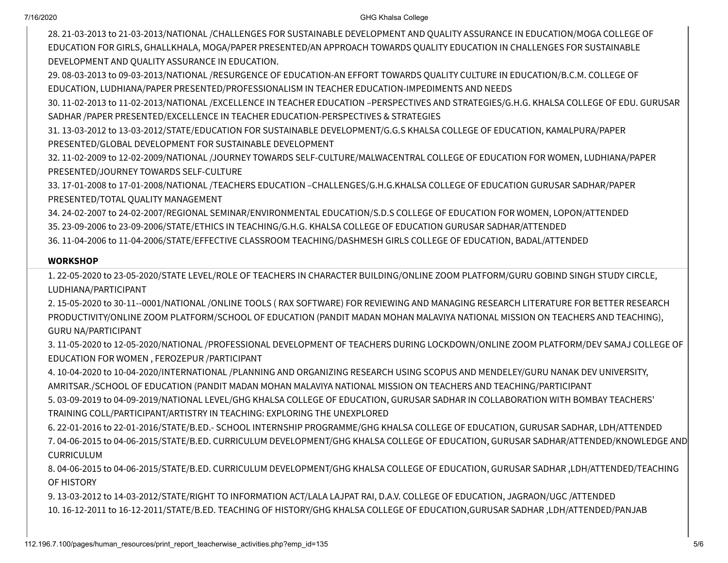28. 21-03-2013 to 21-03-2013/NATIONAL /CHALLENGES FOR SUSTAINABLE DEVELOPMENT AND QUALITY ASSURANCE IN EDUCATION/MOGA COLLEGE OF EDUCATION FOR GIRLS, GHALLKHALA, MOGA/PAPER PRESENTED/AN APPROACH TOWARDS QUALITY EDUCATION IN CHALLENGES FOR SUSTAINABLE DEVELOPMENT AND QUALITY ASSURANCE IN EDUCATION.

29. 08-03-2013 to 09-03-2013/NATIONAL /RESURGENCE OF EDUCATION-AN EFFORT TOWARDS QUALITY CULTURE IN EDUCATION/B.C.M. COLLEGE OF EDUCATION, LUDHIANA/PAPER PRESENTED/PROFESSIONALISM IN TEACHER EDUCATION-IMPEDIMENTS AND NEEDS

30. 11-02-2013 to 11-02-2013/NATIONAL /EXCELLENCE IN TEACHER EDUCATION –PERSPECTIVES AND STRATEGIES/G.H.G. KHALSA COLLEGE OF EDU. GURUSAR SADHAR /PAPER PRESENTED/EXCELLENCE IN TEACHER EDUCATION-PERSPECTIVES & STRATEGIES

31. 13-03-2012 to 13-03-2012/STATE/EDUCATION FOR SUSTAINABLE DEVELOPMENT/G.G.S KHALSA COLLEGE OF EDUCATION, KAMALPURA/PAPER PRESENTED/GLOBAL DEVELOPMENT FOR SUSTAINABLE DEVELOPMENT

32. 11-02-2009 to 12-02-2009/NATIONAL /JOURNEY TOWARDS SELF-CULTURE/MALWACENTRAL COLLEGE OF EDUCATION FOR WOMEN, LUDHIANA/PAPER PRESENTED/JOURNEY TOWARDS SELF-CULTURE

33. 17-01-2008 to 17-01-2008/NATIONAL /TEACHERS EDUCATION –CHALLENGES/G.H.G.KHALSA COLLEGE OF EDUCATION GURUSAR SADHAR/PAPER PRESENTED/TOTAL QUALITY MANAGEMENT

34. 24-02-2007 to 24-02-2007/REGIONAL SEMINAR/ENVIRONMENTAL EDUCATION/S.D.S COLLEGE OF EDUCATION FOR WOMEN, LOPON/ATTENDED 35. 23-09-2006 to 23-09-2006/STATE/ETHICS IN TEACHING/G.H.G. KHALSA COLLEGE OF EDUCATION GURUSAR SADHAR/ATTENDED 36. 11-04-2006 to 11-04-2006/STATE/EFFECTIVE CLASSROOM TEACHING/DASHMESH GIRLS COLLEGE OF EDUCATION, BADAL/ATTENDED

### **WORKSHOP**

1. 22-05-2020 to 23-05-2020/STATE LEVEL/ROLE OF TEACHERS IN CHARACTER BUILDING/ONLINE ZOOM PLATFORM/GURU GOBIND SINGH STUDY CIRCLE, LUDHIANA/PARTICIPANT

2. 15-05-2020 to 30-11--0001/NATIONAL /ONLINE TOOLS ( RAX SOFTWARE) FOR REVIEWING AND MANAGING RESEARCH LITERATURE FOR BETTER RESEARCH PRODUCTIVITY/ONLINE ZOOM PLATFORM/SCHOOL OF EDUCATION (PANDIT MADAN MOHAN MALAVIYA NATIONAL MISSION ON TEACHERS AND TEACHING), GURU NA/PARTICIPANT

3. 11-05-2020 to 12-05-2020/NATIONAL /PROFESSIONAL DEVELOPMENT OF TEACHERS DURING LOCKDOWN/ONLINE ZOOM PLATFORM/DEV SAMAJ COLLEGE OF EDUCATION FOR WOMEN , FEROZEPUR /PARTICIPANT

4. 10-04-2020 to 10-04-2020/INTERNATIONAL /PLANNING AND ORGANIZING RESEARCH USING SCOPUS AND MENDELEY/GURU NANAK DEV UNIVERSITY, AMRITSAR./SCHOOL OF EDUCATION (PANDIT MADAN MOHAN MALAVIYA NATIONAL MISSION ON TEACHERS AND TEACHING/PARTICIPANT 5. 03-09-2019 to 04-09-2019/NATIONAL LEVEL/GHG KHALSA COLLEGE OF EDUCATION, GURUSAR SADHAR IN COLLABORATION WITH BOMBAY TEACHERS'

TRAINING COLL/PARTICIPANT/ARTISTRY IN TEACHING: EXPLORING THE UNEXPLORED

6. 22-01-2016 to 22-01-2016/STATE/B.ED.- SCHOOL INTERNSHIP PROGRAMME/GHG KHALSA COLLEGE OF EDUCATION, GURUSAR SADHAR, LDH/ATTENDED 7. 04-06-2015 to 04-06-2015/STATE/B.ED. CURRICULUM DEVELOPMENT/GHG KHALSA COLLEGE OF EDUCATION, GURUSAR SADHAR/ATTENDED/KNOWLEDGE AND CURRICULUM

8. 04-06-2015 to 04-06-2015/STATE/B.ED. CURRICULUM DEVELOPMENT/GHG KHALSA COLLEGE OF EDUCATION, GURUSAR SADHAR ,LDH/ATTENDED/TEACHING OF HISTORY

9. 13-03-2012 to 14-03-2012/STATE/RIGHT TO INFORMATION ACT/LALA LAJPAT RAI, D.A.V. COLLEGE OF EDUCATION, JAGRAON/UGC /ATTENDED 10. 16-12-2011 to 16-12-2011/STATE/B.ED. TEACHING OF HISTORY/GHG KHALSA COLLEGE OF EDUCATION,GURUSAR SADHAR ,LDH/ATTENDED/PANJAB